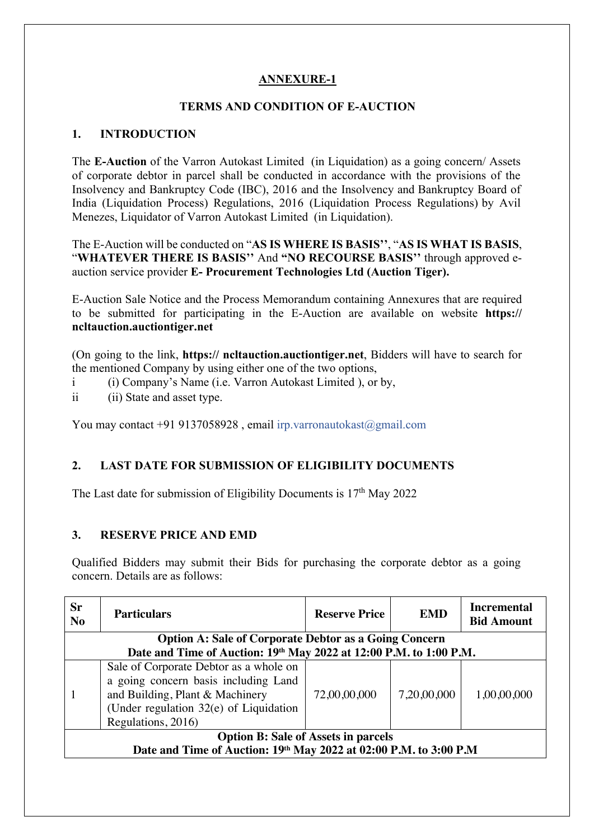### **ANNEXURE-1**

### **TERMS AND CONDITION OF E-AUCTION**

### **1. INTRODUCTION**

The **E-Auction** of the Varron Autokast Limited (in Liquidation) as a going concern/ Assets of corporate debtor in parcel shall be conducted in accordance with the provisions of the Insolvency and Bankruptcy Code (IBC), 2016 and the Insolvency and Bankruptcy Board of India (Liquidation Process) Regulations, 2016 (Liquidation Process Regulations) by Avil Menezes, Liquidator of Varron Autokast Limited (in Liquidation).

The E-Auction will be conducted on "**AS IS WHERE IS BASIS''**, "**AS IS WHAT IS BASIS**, "**WHATEVER THERE IS BASIS''** And **"NO RECOURSE BASIS''** through approved eauction service provider **E- Procurement Technologies Ltd (Auction Tiger).**

E-Auction Sale Notice and the Process Memorandum containing Annexures that are required to be submitted for participating in the E-Auction are available on website **https:// ncltauction.auctiontiger.net** 

(On going to the link, **https:// ncltauction.auctiontiger.net**, Bidders will have to search for the mentioned Company by using either one of the two options,

- i (i) Company's Name (i.e. Varron Autokast Limited ), or by,
- ii (ii) State and asset type.

You may contact +91 9137058928, email irp.varronautokast@gmail.com

### **2. LAST DATE FOR SUBMISSION OF ELIGIBILITY DOCUMENTS**

The Last date for submission of Eligibility Documents is 17<sup>th</sup> May 2022

### **3. RESERVE PRICE AND EMD**

Qualified Bidders may submit their Bids for purchasing the corporate debtor as a going concern. Details are as follows:

| <b>Sr</b><br>N <sub>o</sub>                                       | <b>Particulars</b>                                                                                                                                                                  | <b>Reserve Price</b> | <b>EMD</b>  | <b>Incremental</b><br><b>Bid Amount</b> |  |  |  |
|-------------------------------------------------------------------|-------------------------------------------------------------------------------------------------------------------------------------------------------------------------------------|----------------------|-------------|-----------------------------------------|--|--|--|
| <b>Option A: Sale of Corporate Debtor as a Going Concern</b>      |                                                                                                                                                                                     |                      |             |                                         |  |  |  |
|                                                                   | Date and Time of Auction: 19th May 2022 at 12:00 P.M. to 1:00 P.M.                                                                                                                  |                      |             |                                         |  |  |  |
|                                                                   | Sale of Corporate Debtor as a whole on<br>a going concern basis including Land<br>and Building, Plant & Machinery<br>(Under regulation $32(e)$ of Liquidation<br>Regulations, 2016) | 72,00,00,000         | 7,20,00,000 | 1,00,00,000                             |  |  |  |
| <b>Option B: Sale of Assets in parcels</b>                        |                                                                                                                                                                                     |                      |             |                                         |  |  |  |
| Date and Time of Auction: 19th May 2022 at 02:00 P.M. to 3:00 P.M |                                                                                                                                                                                     |                      |             |                                         |  |  |  |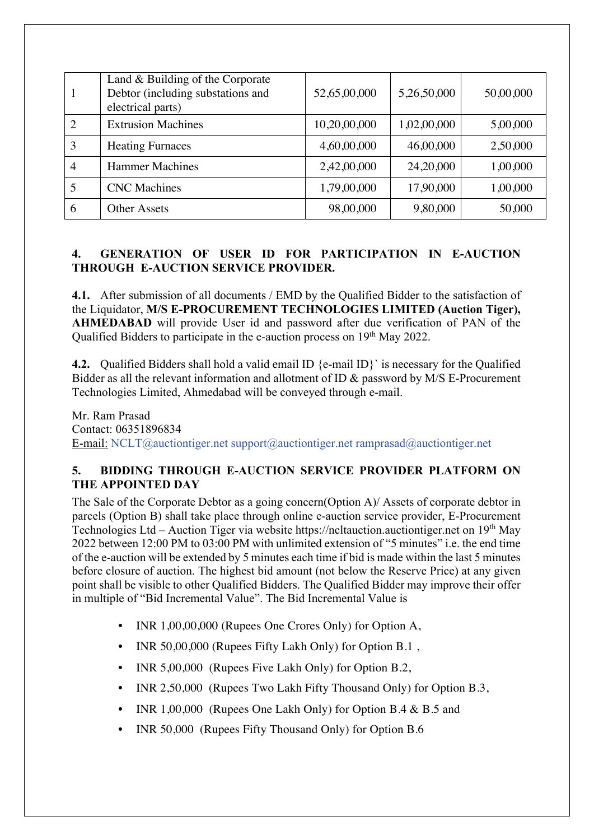|   | Land $&$ Building of the Corporate<br>Debtor (including substations and<br>electrical parts) | 52,65,00,000 | 5,26,50,000 | 50,00,000 |
|---|----------------------------------------------------------------------------------------------|--------------|-------------|-----------|
|   | <b>Extrusion Machines</b>                                                                    | 10,20,00,000 | 1,02,00,000 | 5,00,000  |
| 3 | <b>Heating Furnaces</b>                                                                      | 4,60,00,000  | 46,00,000   | 2,50,000  |
| 4 | <b>Hammer Machines</b>                                                                       | 2,42,00,000  | 24, 20, 000 | 1,00,000  |
|   | <b>CNC</b> Machines                                                                          | 1,79,00,000  | 17,90,000   | 1,00,000  |
| 6 | <b>Other Assets</b>                                                                          | 98,00,000    | 9,80,000    | 50,000    |

### **4. GENERATION OF USER ID FOR PARTICIPATION IN E-AUCTION THROUGH E-AUCTION SERVICE PROVIDER.**

**4.1.** After submission of all documents / EMD by the Qualified Bidder to the satisfaction of the Liquidator, **M/S E-PROCUREMENT TECHNOLOGIES LIMITED (Auction Tiger), AHMEDABAD** will provide User id and password after due verification of PAN of the Qualified Bidders to participate in the e-auction process on 19<sup>th</sup> May 2022.

**4.2.** Qualified Bidders shall hold a valid email ID {e-mail ID}` is necessary for the Qualified Bidder as all the relevant information and allotment of ID & password by M/S E-Procurement Technologies Limited, Ahmedabad will be conveyed through e-mail.

Mr. Ram Prasad Contact: 06351896834 E-mail: NCLT@auctiontiger.net support@auctiontiger.net ramprasad@auctiontiger.net

### **5. BIDDING THROUGH E-AUCTION SERVICE PROVIDER PLATFORM ON THE APPOINTED DAY**

The Sale of the Corporate Debtor as a going concern(Option A)/ Assets of corporate debtor in parcels (Option B) shall take place through online e-auction service provider, E-Procurement Technologies Ltd – Auction Tiger via website https://ncltauction.auctiontiger.net on  $19<sup>th</sup>$  May 2022 between 12:00 PM to 03:00 PM with unlimited extension of "5 minutes" i.e. the end time of the e-auction will be extended by 5 minutes each time if bid is made within the last 5 minutes before closure of auction. The highest bid amount (not below the Reserve Price) at any given point shall be visible to other Qualified Bidders. The Qualified Bidder may improve their offer in multiple of "Bid Incremental Value". The Bid Incremental Value is

- INR 1,00,00,000 (Rupees One Crores Only) for Option A,
- INR 50,00,000 (Rupees Fifty Lakh Only) for Option B.1 ,
- INR 5,00,000 (Rupees Five Lakh Only) for Option B.2,
- INR 2,50,000 (Rupees Two Lakh Fifty Thousand Only) for Option B.3,
- INR 1,00,000 (Rupees One Lakh Only) for Option B.4 & B.5 and
- INR 50,000 (Rupees Fifty Thousand Only) for Option B.6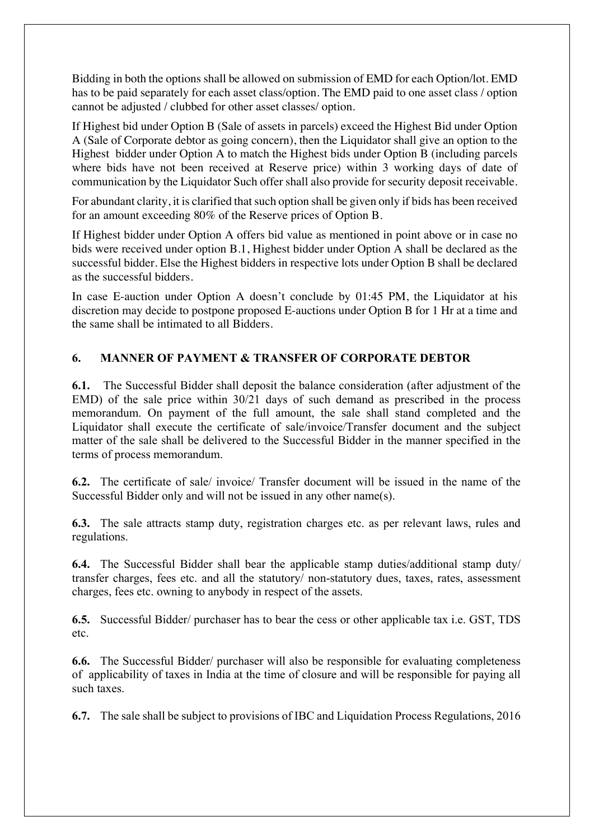Bidding in both the options shall be allowed on submission of EMD for each Option/lot. EMD has to be paid separately for each asset class/option. The EMD paid to one asset class / option cannot be adjusted / clubbed for other asset classes/ option.

If Highest bid under Option B (Sale of assets in parcels) exceed the Highest Bid under Option A (Sale of Corporate debtor as going concern), then the Liquidator shall give an option to the Highest bidder under Option A to match the Highest bids under Option B (including parcels where bids have not been received at Reserve price) within 3 working days of date of communication by the Liquidator Such offer shall also provide for security deposit receivable.

For abundant clarity, it is clarified that such option shall be given only if bids has been received for an amount exceeding 80% of the Reserve prices of Option B.

If Highest bidder under Option A offers bid value as mentioned in point above or in case no bids were received under option B.1, Highest bidder under Option A shall be declared as the successful bidder. Else the Highest bidders in respective lots under Option B shall be declared as the successful bidders.

In case E-auction under Option A doesn't conclude by 01:45 PM, the Liquidator at his discretion may decide to postpone proposed E-auctions under Option B for 1 Hr at a time and the same shall be intimated to all Bidders.

#### **6. MANNER OF PAYMENT & TRANSFER OF CORPORATE DEBTOR**

**6.1.** The Successful Bidder shall deposit the balance consideration (after adjustment of the EMD) of the sale price within 30/21 days of such demand as prescribed in the process memorandum. On payment of the full amount, the sale shall stand completed and the Liquidator shall execute the certificate of sale/invoice/Transfer document and the subject matter of the sale shall be delivered to the Successful Bidder in the manner specified in the terms of process memorandum.

**6.2.** The certificate of sale/ invoice/ Transfer document will be issued in the name of the Successful Bidder only and will not be issued in any other name(s).

**6.3.** The sale attracts stamp duty, registration charges etc. as per relevant laws, rules and regulations.

**6.4.** The Successful Bidder shall bear the applicable stamp duties/additional stamp duty/ transfer charges, fees etc. and all the statutory/ non-statutory dues, taxes, rates, assessment charges, fees etc. owning to anybody in respect of the assets.

**6.5.** Successful Bidder/ purchaser has to bear the cess or other applicable tax i.e. GST, TDS etc.

**6.6.** The Successful Bidder/ purchaser will also be responsible for evaluating completeness of applicability of taxes in India at the time of closure and will be responsible for paying all such taxes.

**6.7.** The sale shall be subject to provisions of IBC and Liquidation Process Regulations, 2016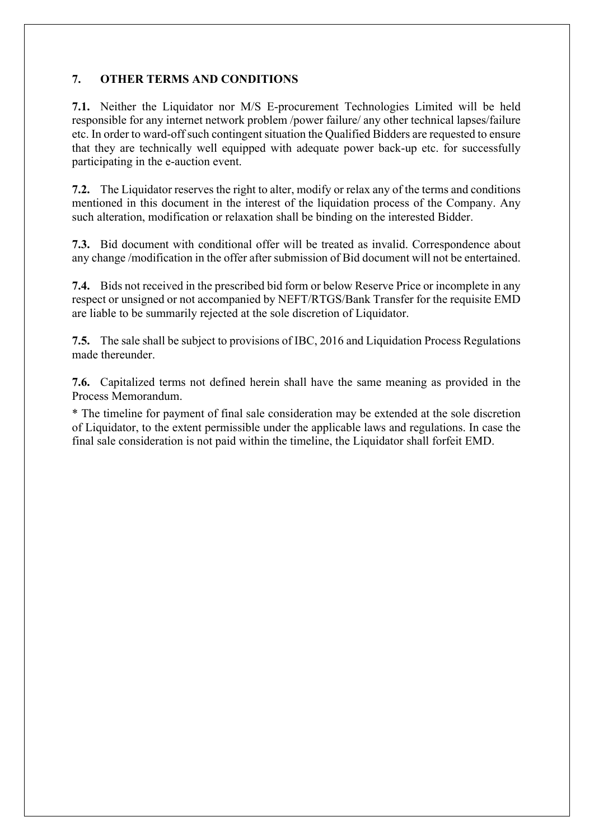### **7. OTHER TERMS AND CONDITIONS**

**7.1.** Neither the Liquidator nor M/S E-procurement Technologies Limited will be held responsible for any internet network problem /power failure/ any other technical lapses/failure etc. In order to ward-off such contingent situation the Qualified Bidders are requested to ensure that they are technically well equipped with adequate power back-up etc. for successfully participating in the e-auction event.

**7.2.** The Liquidator reserves the right to alter, modify or relax any of the terms and conditions mentioned in this document in the interest of the liquidation process of the Company. Any such alteration, modification or relaxation shall be binding on the interested Bidder.

**7.3.** Bid document with conditional offer will be treated as invalid. Correspondence about any change /modification in the offer after submission of Bid document will not be entertained.

**7.4.** Bids not received in the prescribed bid form or below Reserve Price or incomplete in any respect or unsigned or not accompanied by NEFT/RTGS/Bank Transfer for the requisite EMD are liable to be summarily rejected at the sole discretion of Liquidator.

**7.5.** The sale shall be subject to provisions of IBC, 2016 and Liquidation Process Regulations made thereunder.

**7.6.** Capitalized terms not defined herein shall have the same meaning as provided in the Process Memorandum.

\* The timeline for payment of final sale consideration may be extended at the sole discretion of Liquidator, to the extent permissible under the applicable laws and regulations. In case the final sale consideration is not paid within the timeline, the Liquidator shall forfeit EMD.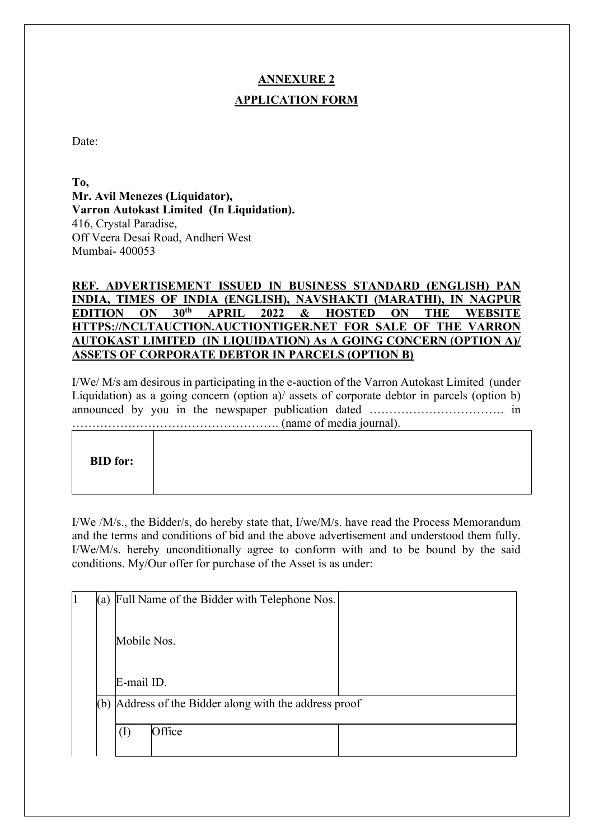# **ANNEXURE 2 APPLICATION FORM**

Date:

**To, Mr. Avil Menezes (Liquidator), Varron Autokast Limited (In Liquidation).** 416, Crystal Paradise, Off Veera Desai Road, Andheri West Mumbai- 400053

### **REF. ADVERTISEMENT ISSUED IN BUSINESS STANDARD (ENGLISH) PAN INDIA, TIMES OF INDIA (ENGLISH), NAVSHAKTI (MARATHI), IN NAGPUR EDITION ON 30th APRIL 2022 & HOSTED ON THE WEBSITE HTTPS://NCLTAUCTION.AUCTIONTIGER.NET FOR SALE OF THE VARRON AUTOKAST LIMITED (IN LIQUIDATION) As A GOING CONCERN (OPTION A)/ ASSETS OF CORPORATE DEBTOR IN PARCELS (OPTION B)**

I/We/ M/s am desirous in participating in the e-auction of the Varron Autokast Limited (under Liquidation) as a going concern (option a)/ assets of corporate debtor in parcels (option b) announced by you in the newspaper publication dated ……………………………. in ……………………………………………. (name of media journal).

| <b>BID</b> for: |
|-----------------|
|-----------------|

I/We /M/s., the Bidder/s, do hereby state that, I/we/M/s. have read the Process Memorandum and the terms and conditions of bid and the above advertisement and understood them fully. I/We/M/s. hereby unconditionally agree to conform with and to be bound by the said conditions. My/Our offer for purchase of the Asset is as under:

| 1                                                         |  | (a) Full Name of the Bidder with Telephone Nos. |  |
|-----------------------------------------------------------|--|-------------------------------------------------|--|
|                                                           |  | Mobile Nos.<br>E-mail ID.                       |  |
|                                                           |  |                                                 |  |
| Address of the Bidder along with the address proof<br>(b) |  |                                                 |  |
|                                                           |  | Office<br>$\left(1\right)$                      |  |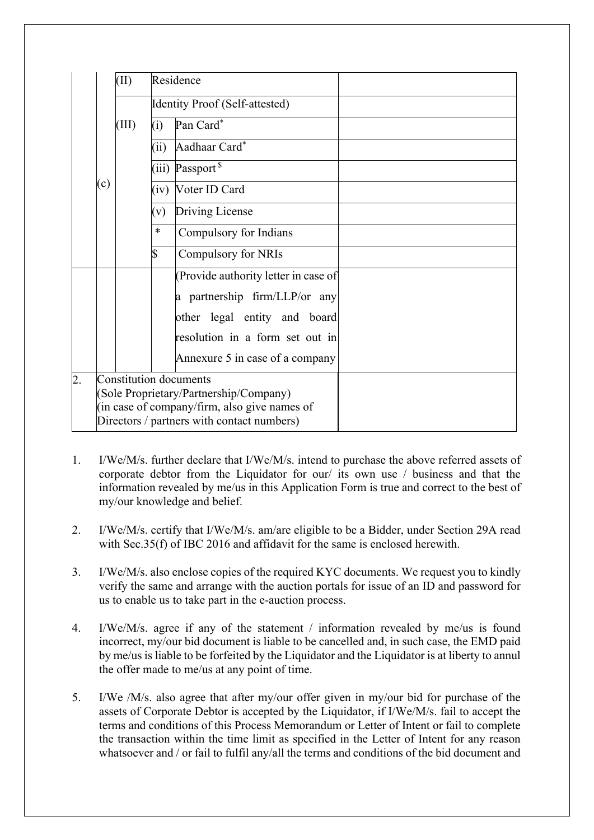|    | Residence<br>(II)                                                                                                                                              |  |        |                                      |  |
|----|----------------------------------------------------------------------------------------------------------------------------------------------------------------|--|--------|--------------------------------------|--|
|    | Identity Proof (Self-attested)<br>Pan Card*<br>(III)<br>(i)                                                                                                    |  |        |                                      |  |
|    |                                                                                                                                                                |  |        |                                      |  |
|    |                                                                                                                                                                |  | (ii)   | Aadhaar Card*                        |  |
|    |                                                                                                                                                                |  |        | (iii) Passport $s$                   |  |
|    | (c)                                                                                                                                                            |  | (iv)   | Voter ID Card                        |  |
|    |                                                                                                                                                                |  | (v)    | Driving License                      |  |
|    |                                                                                                                                                                |  | $\ast$ | Compulsory for Indians               |  |
|    |                                                                                                                                                                |  | \$     | Compulsory for NRIs                  |  |
|    |                                                                                                                                                                |  |        | (Provide authority letter in case of |  |
|    |                                                                                                                                                                |  |        | a partnership firm/LLP/or any        |  |
|    |                                                                                                                                                                |  |        | other legal entity and board         |  |
|    |                                                                                                                                                                |  |        | resolution in a form set out in      |  |
|    |                                                                                                                                                                |  |        | Annexure 5 in case of a company      |  |
| 2. | Constitution documents<br>(Sole Proprietary/Partnership/Company)<br>(in case of company/firm, also give names of<br>Directors / partners with contact numbers) |  |        |                                      |  |

- 1. I/We/M/s. further declare that I/We/M/s. intend to purchase the above referred assets of corporate debtor from the Liquidator for our/ its own use / business and that the information revealed by me/us in this Application Form is true and correct to the best of my/our knowledge and belief.
- 2. I/We/M/s. certify that I/We/M/s. am/are eligible to be a Bidder, under Section 29A read with Sec.35(f) of IBC 2016 and affidavit for the same is enclosed herewith.
- 3. I/We/M/s. also enclose copies of the required KYC documents. We request you to kindly verify the same and arrange with the auction portals for issue of an ID and password for us to enable us to take part in the e-auction process.
- 4. I/We/M/s. agree if any of the statement / information revealed by me/us is found incorrect, my/our bid document is liable to be cancelled and, in such case, the EMD paid by me/us is liable to be forfeited by the Liquidator and the Liquidator is at liberty to annul the offer made to me/us at any point of time.
- 5. I/We /M/s. also agree that after my/our offer given in my/our bid for purchase of the assets of Corporate Debtor is accepted by the Liquidator, if I/We/M/s. fail to accept the terms and conditions of this Process Memorandum or Letter of Intent or fail to complete the transaction within the time limit as specified in the Letter of Intent for any reason whatsoever and / or fail to fulfil any/all the terms and conditions of the bid document and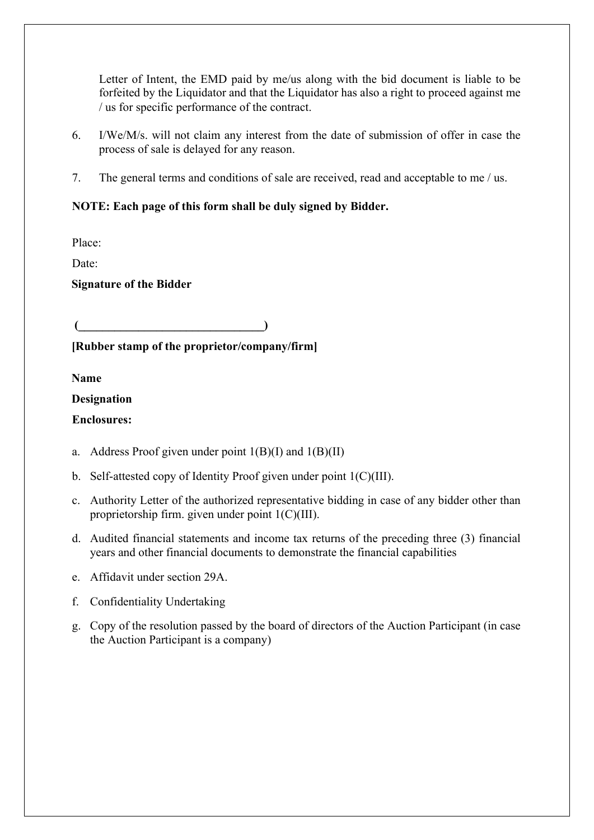Letter of Intent, the EMD paid by me/us along with the bid document is liable to be forfeited by the Liquidator and that the Liquidator has also a right to proceed against me / us for specific performance of the contract.

- 6. I/We/M/s. will not claim any interest from the date of submission of offer in case the process of sale is delayed for any reason.
- 7. The general terms and conditions of sale are received, read and acceptable to me / us.

### **NOTE: Each page of this form shall be duly signed by Bidder.**

Place:

Date:

**Signature of the Bidder**

 $($   $($   $)$ 

### **[Rubber stamp of the proprietor/company/firm]**

**Name**

#### **Designation**

#### **Enclosures:**

- a. Address Proof given under point  $1(B)(I)$  and  $1(B)(II)$
- b. Self-attested copy of Identity Proof given under point 1(C)(III).
- c. Authority Letter of the authorized representative bidding in case of any bidder other than proprietorship firm. given under point 1(C)(III).
- d. Audited financial statements and income tax returns of the preceding three (3) financial years and other financial documents to demonstrate the financial capabilities
- e. Affidavit under section 29A.
- f. Confidentiality Undertaking
- g. Copy of the resolution passed by the board of directors of the Auction Participant (in case the Auction Participant is a company)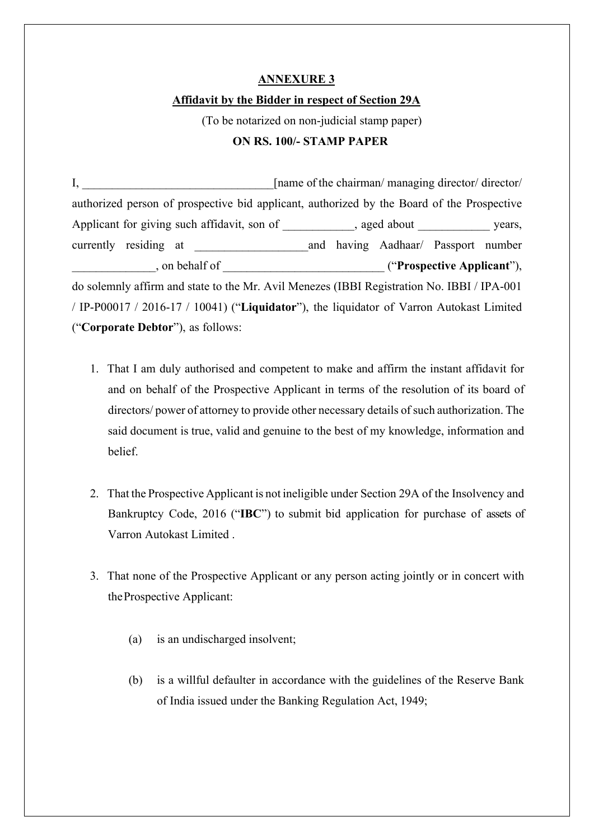#### **ANNEXURE 3**

#### **Affidavit by the Bidder in respect of Section 29A**

(To be notarized on non-judicial stamp paper)

### **ON RS. 100/- STAMP PAPER**

I, and I have a function of the chairman/ managing director/ director/ authorized person of prospective bid applicant, authorized by the Board of the Prospective Applicant for giving such affidavit, son of , aged about years, currently residing at \_\_\_\_\_\_\_\_\_\_\_\_\_\_\_\_\_\_\_and having Aadhaar/ Passport number \_\_\_\_\_\_\_\_\_\_\_\_\_\_, on behalf of \_\_\_\_\_\_\_\_\_\_\_\_\_\_\_\_\_\_\_\_\_\_\_\_\_\_\_ ("**Prospective Applicant**"), do solemnly affirm and state to the Mr. Avil Menezes (IBBI Registration No. IBBI / IPA-001 / IP-P00017 / 2016-17 / 10041) ("**Liquidator**"), the liquidator of Varron Autokast Limited ("**Corporate Debtor**"), as follows:

- 1. That I am duly authorised and competent to make and affirm the instant affidavit for and on behalf of the Prospective Applicant in terms of the resolution of its board of directors/ power of attorney to provide other necessary details of such authorization. The said document is true, valid and genuine to the best of my knowledge, information and belief.
- 2. That the Prospective Applicant is not ineligible under Section 29A of the Insolvency and Bankruptcy Code, 2016 ("**IBC**") to submit bid application for purchase of assets of Varron Autokast Limited .
- 3. That none of the Prospective Applicant or any person acting jointly or in concert with theProspective Applicant:
	- (a) is an undischarged insolvent;
	- (b) is a willful defaulter in accordance with the guidelines of the Reserve Bank of India issued under the Banking Regulation Act, 1949;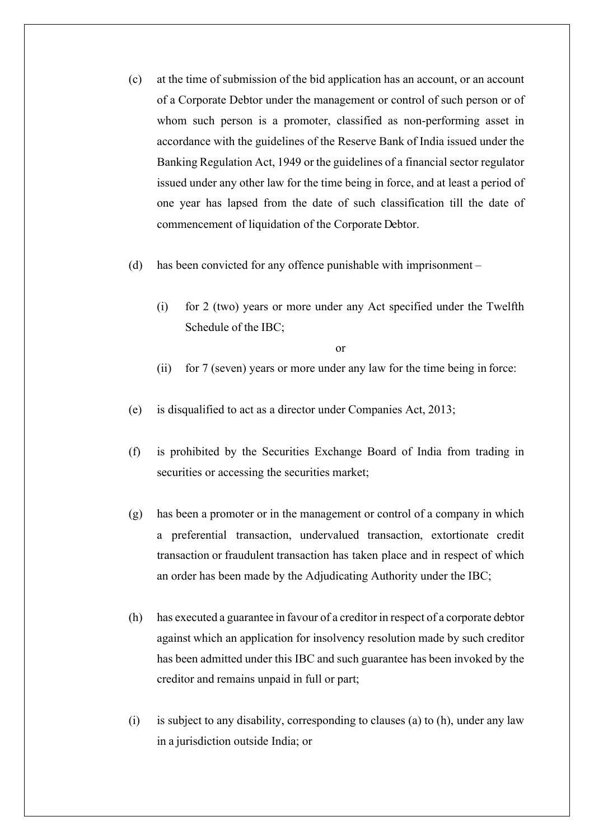- (c) at the time of submission of the bid application has an account, or an account of a Corporate Debtor under the management or control of such person or of whom such person is a promoter, classified as non-performing asset in accordance with the guidelines of the Reserve Bank of India issued under the Banking Regulation Act, 1949 or the guidelines of a financial sector regulator issued under any other law for the time being in force, and at least a period of one year has lapsed from the date of such classification till the date of commencement of liquidation of the Corporate Debtor.
- (d) has been convicted for any offence punishable with imprisonment
	- (i) for 2 (two) years or more under any Act specified under the Twelfth Schedule of the IBC;

or

- (ii) for 7 (seven) years or more under any law for the time being in force:
- (e) is disqualified to act as a director under Companies Act, 2013;
- (f) is prohibited by the Securities Exchange Board of India from trading in securities or accessing the securities market;
- (g) has been a promoter or in the management or control of a company in which a preferential transaction, undervalued transaction, extortionate credit transaction or fraudulent transaction has taken place and in respect of which an order has been made by the Adjudicating Authority under the IBC;
- (h) has executed a guarantee in favour of a creditor in respect of a corporate debtor against which an application for insolvency resolution made by such creditor has been admitted under this IBC and such guarantee has been invoked by the creditor and remains unpaid in full or part;
- (i) is subject to any disability, corresponding to clauses (a) to (h), under any law in a jurisdiction outside India; or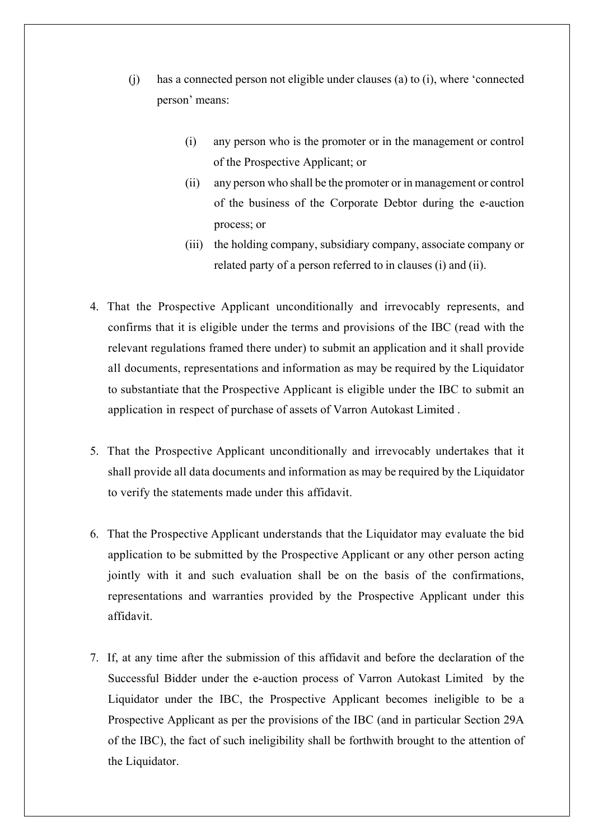- (j) has a connected person not eligible under clauses (a) to (i), where 'connected person' means:
	- (i) any person who is the promoter or in the management or control of the Prospective Applicant; or
	- (ii) any person who shall be the promoter or in management or control of the business of the Corporate Debtor during the e-auction process; or
	- (iii) the holding company, subsidiary company, associate company or related party of a person referred to in clauses (i) and (ii).
- 4. That the Prospective Applicant unconditionally and irrevocably represents, and confirms that it is eligible under the terms and provisions of the IBC (read with the relevant regulations framed there under) to submit an application and it shall provide all documents, representations and information as may be required by the Liquidator to substantiate that the Prospective Applicant is eligible under the IBC to submit an application in respect of purchase of assets of Varron Autokast Limited .
- 5. That the Prospective Applicant unconditionally and irrevocably undertakes that it shall provide all data documents and information as may be required by the Liquidator to verify the statements made under this affidavit.
- 6. That the Prospective Applicant understands that the Liquidator may evaluate the bid application to be submitted by the Prospective Applicant or any other person acting jointly with it and such evaluation shall be on the basis of the confirmations, representations and warranties provided by the Prospective Applicant under this affidavit.
- 7. If, at any time after the submission of this affidavit and before the declaration of the Successful Bidder under the e-auction process of Varron Autokast Limited by the Liquidator under the IBC, the Prospective Applicant becomes ineligible to be a Prospective Applicant as per the provisions of the IBC (and in particular Section 29A of the IBC), the fact of such ineligibility shall be forthwith brought to the attention of the Liquidator.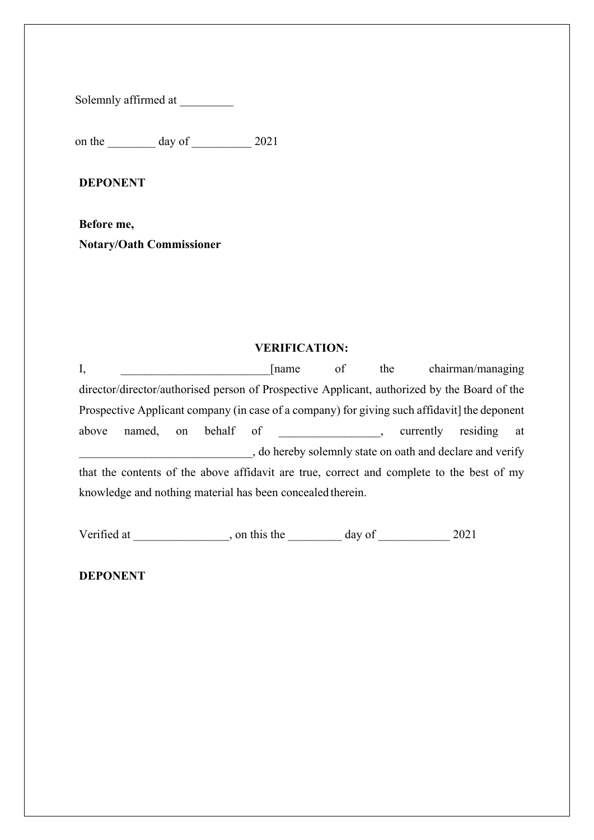Solemnly affirmed at

on the day of 2021

**DEPONENT**

**Before me, Notary/Oath Commissioner**

#### **VERIFICATION:**

I,  $\Box$  [name of the chairman/managing director/director/authorised person of Prospective Applicant, authorized by the Board of the Prospective Applicant company (in case of a company) for giving such affidavit] the deponent above named, on behalf of the surrently residing at \_\_\_\_\_\_\_\_\_\_\_\_\_\_\_\_\_\_\_\_\_\_\_\_\_\_\_\_\_, do hereby solemnly state on oath and declare and verify that the contents of the above affidavit are true, correct and complete to the best of my knowledge and nothing material has been concealed therein.

Verified at \_\_\_\_\_\_\_\_\_\_\_\_, on this the \_\_\_\_\_\_\_\_ day of \_\_\_\_\_\_\_\_\_\_\_ 2021

**DEPONENT**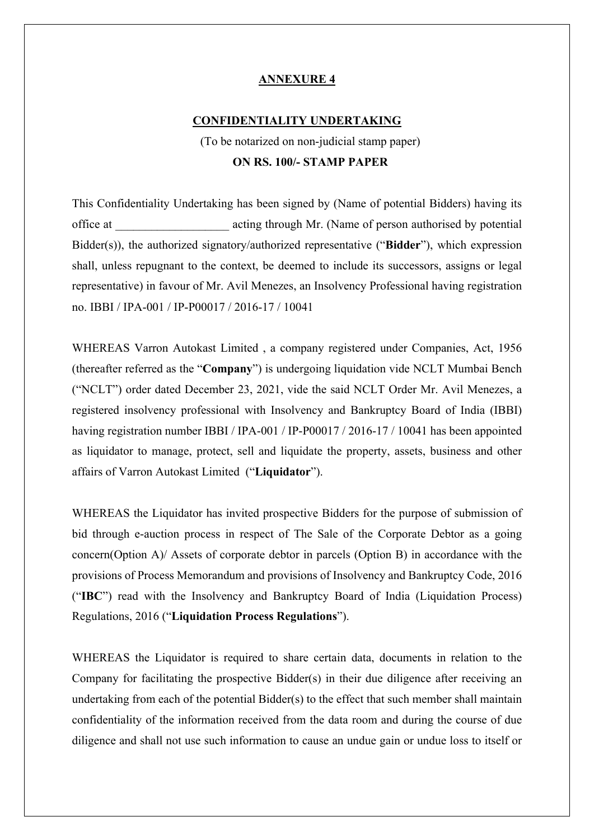### **ANNEXURE 4**

#### **CONFIDENTIALITY UNDERTAKING**

(To be notarized on non-judicial stamp paper) **ON RS. 100/- STAMP PAPER**

This Confidentiality Undertaking has been signed by (Name of potential Bidders) having its office at \_\_\_\_\_\_\_\_\_\_\_\_\_\_\_\_\_\_\_ acting through Mr. (Name of person authorised by potential Bidder(s)), the authorized signatory/authorized representative ("**Bidder**"), which expression shall, unless repugnant to the context, be deemed to include its successors, assigns or legal representative) in favour of Mr. Avil Menezes, an Insolvency Professional having registration no. IBBI / IPA-001 / IP-P00017 / 2016-17 / 10041

WHEREAS Varron Autokast Limited , a company registered under Companies, Act, 1956 (thereafter referred as the "**Company**") is undergoing liquidation vide NCLT Mumbai Bench ("NCLT") order dated December 23, 2021, vide the said NCLT Order Mr. Avil Menezes, a registered insolvency professional with Insolvency and Bankruptcy Board of India (IBBI) having registration number IBBI / IPA-001 / IP-P00017 / 2016-17 / 10041 has been appointed as liquidator to manage, protect, sell and liquidate the property, assets, business and other affairs of Varron Autokast Limited ("**Liquidator**").

WHEREAS the Liquidator has invited prospective Bidders for the purpose of submission of bid through e-auction process in respect of The Sale of the Corporate Debtor as a going concern(Option A)/ Assets of corporate debtor in parcels (Option B) in accordance with the provisions of Process Memorandum and provisions of Insolvency and Bankruptcy Code, 2016 ("**IBC**") read with the Insolvency and Bankruptcy Board of India (Liquidation Process) Regulations, 2016 ("**Liquidation Process Regulations**").

WHEREAS the Liquidator is required to share certain data, documents in relation to the Company for facilitating the prospective Bidder(s) in their due diligence after receiving an undertaking from each of the potential Bidder(s) to the effect that such member shall maintain confidentiality of the information received from the data room and during the course of due diligence and shall not use such information to cause an undue gain or undue loss to itself or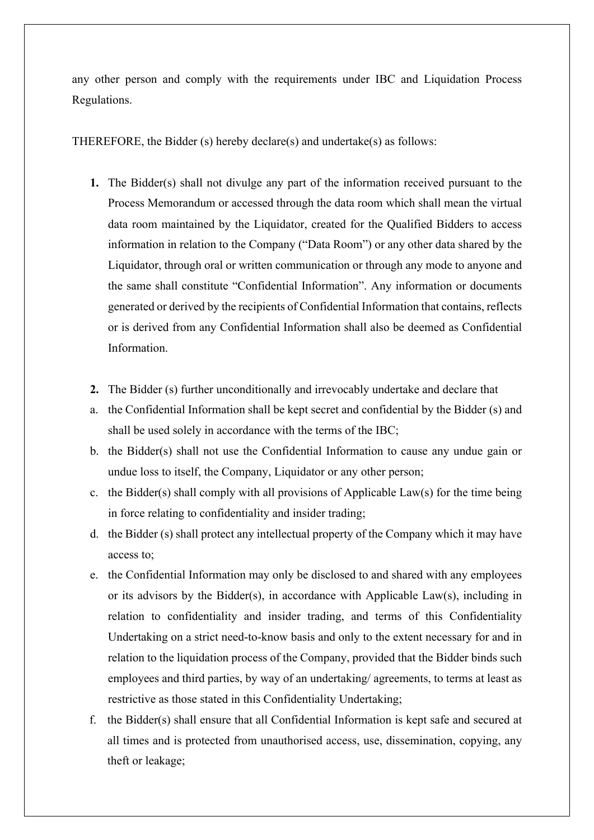any other person and comply with the requirements under IBC and Liquidation Process Regulations.

THEREFORE, the Bidder (s) hereby declare(s) and undertake(s) as follows:

- **1.** The Bidder(s) shall not divulge any part of the information received pursuant to the Process Memorandum or accessed through the data room which shall mean the virtual data room maintained by the Liquidator, created for the Qualified Bidders to access information in relation to the Company ("Data Room") or any other data shared by the Liquidator, through oral or written communication or through any mode to anyone and the same shall constitute "Confidential Information". Any information or documents generated or derived by the recipients of Confidential Information that contains, reflects or is derived from any Confidential Information shall also be deemed as Confidential Information.
- **2.** The Bidder (s) further unconditionally and irrevocably undertake and declare that
- a. the Confidential Information shall be kept secret and confidential by the Bidder (s) and shall be used solely in accordance with the terms of the IBC;
- b. the Bidder(s) shall not use the Confidential Information to cause any undue gain or undue loss to itself, the Company, Liquidator or any other person;
- c. the Bidder(s) shall comply with all provisions of Applicable Law(s) for the time being in force relating to confidentiality and insider trading;
- d. the Bidder (s) shall protect any intellectual property of the Company which it may have access to;
- e. the Confidential Information may only be disclosed to and shared with any employees or its advisors by the Bidder(s), in accordance with Applicable Law(s), including in relation to confidentiality and insider trading, and terms of this Confidentiality Undertaking on a strict need-to-know basis and only to the extent necessary for and in relation to the liquidation process of the Company, provided that the Bidder binds such employees and third parties, by way of an undertaking/ agreements, to terms at least as restrictive as those stated in this Confidentiality Undertaking;
- f. the Bidder(s) shall ensure that all Confidential Information is kept safe and secured at all times and is protected from unauthorised access, use, dissemination, copying, any theft or leakage;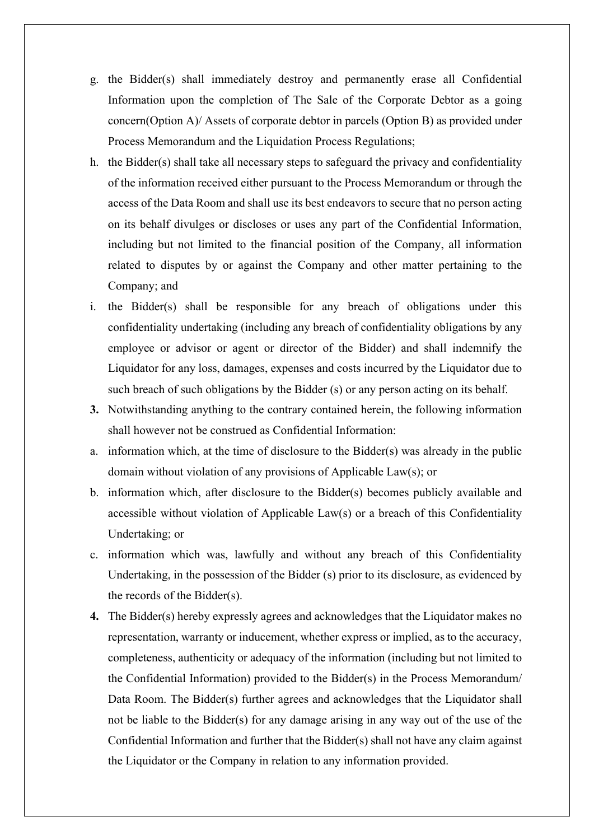- g. the Bidder(s) shall immediately destroy and permanently erase all Confidential Information upon the completion of The Sale of the Corporate Debtor as a going concern(Option A)/ Assets of corporate debtor in parcels (Option B) as provided under Process Memorandum and the Liquidation Process Regulations;
- h. the Bidder(s) shall take all necessary steps to safeguard the privacy and confidentiality of the information received either pursuant to the Process Memorandum or through the access of the Data Room and shall use its best endeavors to secure that no person acting on its behalf divulges or discloses or uses any part of the Confidential Information, including but not limited to the financial position of the Company, all information related to disputes by or against the Company and other matter pertaining to the Company; and
- i. the Bidder(s) shall be responsible for any breach of obligations under this confidentiality undertaking (including any breach of confidentiality obligations by any employee or advisor or agent or director of the Bidder) and shall indemnify the Liquidator for any loss, damages, expenses and costs incurred by the Liquidator due to such breach of such obligations by the Bidder (s) or any person acting on its behalf.
- **3.** Notwithstanding anything to the contrary contained herein, the following information shall however not be construed as Confidential Information:
- a. information which, at the time of disclosure to the Bidder(s) was already in the public domain without violation of any provisions of Applicable Law(s); or
- b. information which, after disclosure to the Bidder(s) becomes publicly available and accessible without violation of Applicable Law(s) or a breach of this Confidentiality Undertaking; or
- c. information which was, lawfully and without any breach of this Confidentiality Undertaking, in the possession of the Bidder (s) prior to its disclosure, as evidenced by the records of the Bidder(s).
- **4.** The Bidder(s) hereby expressly agrees and acknowledges that the Liquidator makes no representation, warranty or inducement, whether express or implied, as to the accuracy, completeness, authenticity or adequacy of the information (including but not limited to the Confidential Information) provided to the Bidder(s) in the Process Memorandum/ Data Room. The Bidder(s) further agrees and acknowledges that the Liquidator shall not be liable to the Bidder(s) for any damage arising in any way out of the use of the Confidential Information and further that the Bidder(s) shall not have any claim against the Liquidator or the Company in relation to any information provided.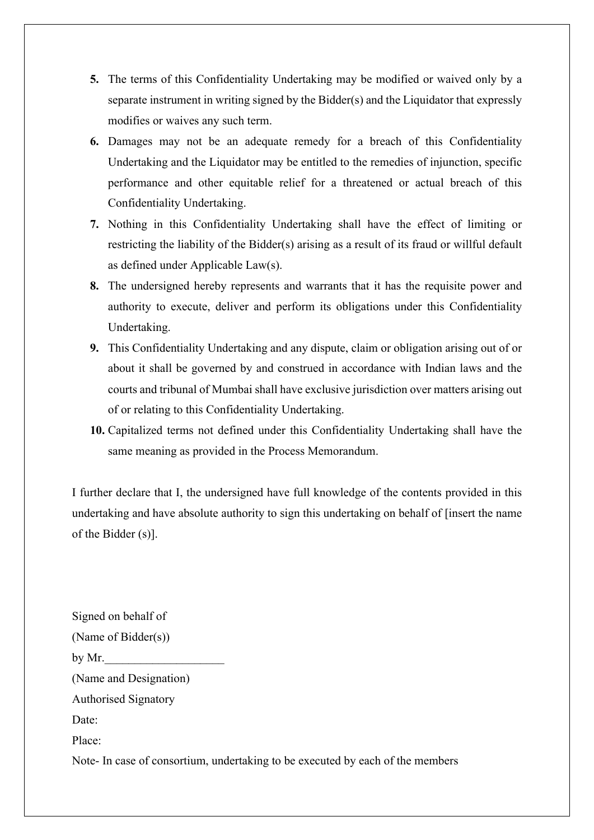- **5.** The terms of this Confidentiality Undertaking may be modified or waived only by a separate instrument in writing signed by the Bidder(s) and the Liquidator that expressly modifies or waives any such term.
- **6.** Damages may not be an adequate remedy for a breach of this Confidentiality Undertaking and the Liquidator may be entitled to the remedies of injunction, specific performance and other equitable relief for a threatened or actual breach of this Confidentiality Undertaking.
- **7.** Nothing in this Confidentiality Undertaking shall have the effect of limiting or restricting the liability of the Bidder(s) arising as a result of its fraud or willful default as defined under Applicable Law(s).
- **8.** The undersigned hereby represents and warrants that it has the requisite power and authority to execute, deliver and perform its obligations under this Confidentiality Undertaking.
- **9.** This Confidentiality Undertaking and any dispute, claim or obligation arising out of or about it shall be governed by and construed in accordance with Indian laws and the courts and tribunal of Mumbai shall have exclusive jurisdiction over matters arising out of or relating to this Confidentiality Undertaking.
- **10.** Capitalized terms not defined under this Confidentiality Undertaking shall have the same meaning as provided in the Process Memorandum.

I further declare that I, the undersigned have full knowledge of the contents provided in this undertaking and have absolute authority to sign this undertaking on behalf of [insert the name of the Bidder (s)].

Signed on behalf of (Name of Bidder(s)) by Mr. (Name and Designation) Authorised Signatory Date: Place:

Note- In case of consortium, undertaking to be executed by each of the members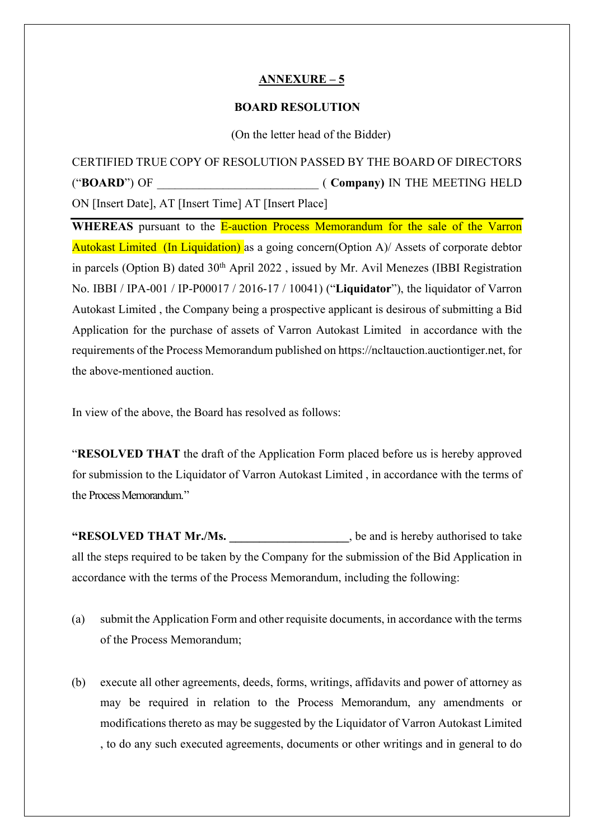#### **ANNEXURE – 5**

#### **BOARD RESOLUTION**

(On the letter head of the Bidder)

CERTIFIED TRUE COPY OF RESOLUTION PASSED BY THE BOARD OF DIRECTORS ("**BOARD**") OF  $($  **Company** $)$  IN THE MEETING HELD ON [Insert Date], AT [Insert Time] AT [Insert Place]

**WHEREAS** pursuant to the **E-auction Process Memorandum for the sale of the Varron** Autokast Limited (In Liquidation) as a going concern(Option A)/ Assets of corporate debtor in parcels (Option B) dated 30<sup>th</sup> April 2022, issued by Mr. Avil Menezes (IBBI Registration No. IBBI / IPA-001 / IP-P00017 / 2016-17 / 10041) ("**Liquidator**"), the liquidator of Varron Autokast Limited , the Company being a prospective applicant is desirous of submitting a Bid Application for the purchase of assets of Varron Autokast Limited in accordance with the requirements of the Process Memorandum published on https://ncltauction.auctiontiger.net, for the above-mentioned auction.

In view of the above, the Board has resolved as follows:

"**RESOLVED THAT** the draft of the Application Form placed before us is hereby approved for submission to the Liquidator of Varron Autokast Limited , in accordance with the terms of the Process Memorandum."

**"RESOLVED THAT Mr./Ms. \_\_\_\_\_\_\_\_\_\_\_\_\_\_\_\_\_\_\_\_**, be and is hereby authorised to take all the steps required to be taken by the Company for the submission of the Bid Application in accordance with the terms of the Process Memorandum, including the following:

- (a) submit the Application Form and other requisite documents, in accordance with the terms of the Process Memorandum;
- (b) execute all other agreements, deeds, forms, writings, affidavits and power of attorney as may be required in relation to the Process Memorandum, any amendments or modifications thereto as may be suggested by the Liquidator of Varron Autokast Limited , to do any such executed agreements, documents or other writings and in general to do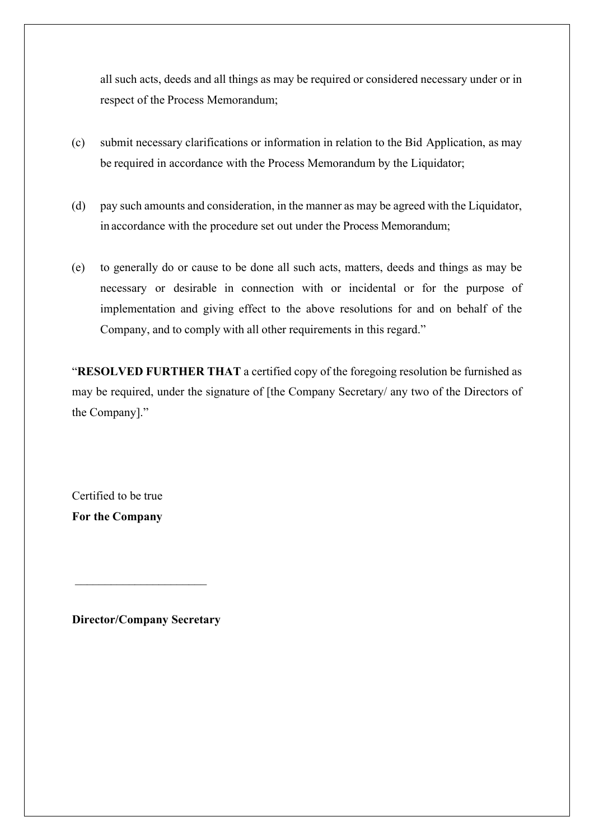all such acts, deeds and all things as may be required or considered necessary under or in respect of the Process Memorandum;

- (c) submit necessary clarifications or information in relation to the Bid Application, as may be required in accordance with the Process Memorandum by the Liquidator;
- (d) pay such amounts and consideration, in the manner as may be agreed with the Liquidator, in accordance with the procedure set out under the Process Memorandum;
- (e) to generally do or cause to be done all such acts, matters, deeds and things as may be necessary or desirable in connection with or incidental or for the purpose of implementation and giving effect to the above resolutions for and on behalf of the Company, and to comply with all other requirements in this regard."

"**RESOLVED FURTHER THAT** a certified copy of the foregoing resolution be furnished as may be required, under the signature of [the Company Secretary/ any two of the Directors of the Company]."

Certified to be true **For the Company**

**Director/Company Secretary**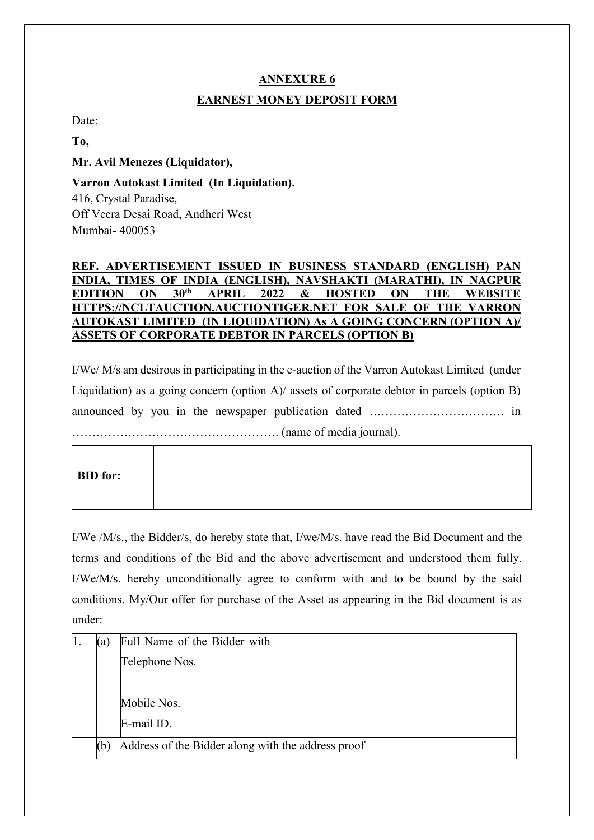## **ANNEXURE 6**

### **EARNEST MONEY DEPOSIT FORM**

Date:

**To,**

**Mr. Avil Menezes (Liquidator),**

**Varron Autokast Limited (In Liquidation).** 416, Crystal Paradise,

Off Veera Desai Road, Andheri West Mumbai- 400053

### **REF. ADVERTISEMENT ISSUED IN BUSINESS STANDARD (ENGLISH) PAN INDIA, TIMES OF INDIA (ENGLISH), NAVSHAKTI (MARATHI), IN NAGP<br>EDITION ON 30<sup>th</sup> APRIL 2022 & HOSTED ON THE WERSI EDITION ON 30th APRIL 2022 & HOSTED ON THE WEBSITE HTTPS://NCLTAUCTION.AUCTIONTIGER.NET FOR SALE OF THE VARRON AUTOKAST LIMITED (IN LIQUIDATION) As A GOING CONCERN (OPTION A)/ ASSETS OF CORPORATE DEBTOR IN PARCELS (OPTION B)**

I/We/ M/s am desirous in participating in the e-auction of the Varron Autokast Limited (under Liquidation) as a going concern (option A)/ assets of corporate debtor in parcels (option B) announced by you in the newspaper publication dated ……………………………. in ……………………………………………. (name of media journal).

I/We /M/s., the Bidder/s, do hereby state that, I/we/M/s. have read the Bid Document and the terms and conditions of the Bid and the above advertisement and understood them fully. I/We/M/s. hereby unconditionally agree to conform with and to be bound by the said conditions. My/Our offer for purchase of the Asset as appearing in the Bid document is as under:

| (a) | Full Name of the Bidder with                       |  |  |
|-----|----------------------------------------------------|--|--|
|     | Telephone Nos.                                     |  |  |
|     |                                                    |  |  |
|     | Mobile Nos.                                        |  |  |
|     | E-mail ID.                                         |  |  |
| (b) | Address of the Bidder along with the address proof |  |  |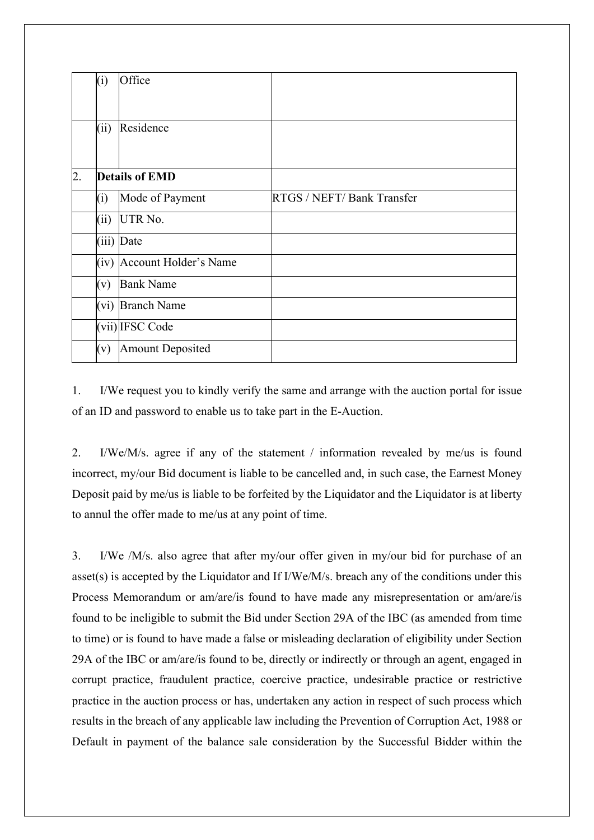|                  | (i)  | Office                     |                            |
|------------------|------|----------------------------|----------------------------|
|                  | (ii) | Residence                  |                            |
| $\overline{2}$ . |      | <b>Details of EMD</b>      |                            |
|                  | (i)  | Mode of Payment            | RTGS / NEFT/ Bank Transfer |
|                  | (ii) | UTR No.                    |                            |
|                  |      | (iii) Date                 |                            |
|                  |      | (iv) Account Holder's Name |                            |
|                  | (v)  | <b>Bank Name</b>           |                            |
|                  |      | (vi) Branch Name           |                            |
|                  |      | (vii) IFSC Code            |                            |
|                  | (v)  | Amount Deposited           |                            |

1. I/We request you to kindly verify the same and arrange with the auction portal for issue of an ID and password to enable us to take part in the E-Auction.

2. I/We/M/s. agree if any of the statement / information revealed by me/us is found incorrect, my/our Bid document is liable to be cancelled and, in such case, the Earnest Money Deposit paid by me/us is liable to be forfeited by the Liquidator and the Liquidator is at liberty to annul the offer made to me/us at any point of time.

3. I/We /M/s. also agree that after my/our offer given in my/our bid for purchase of an asset(s) is accepted by the Liquidator and If I/We/M/s. breach any of the conditions under this Process Memorandum or am/are/is found to have made any misrepresentation or am/are/is found to be ineligible to submit the Bid under Section 29A of the IBC (as amended from time to time) or is found to have made a false or misleading declaration of eligibility under Section 29A of the IBC or am/are/is found to be, directly or indirectly or through an agent, engaged in corrupt practice, fraudulent practice, coercive practice, undesirable practice or restrictive practice in the auction process or has, undertaken any action in respect of such process which results in the breach of any applicable law including the Prevention of Corruption Act, 1988 or Default in payment of the balance sale consideration by the Successful Bidder within the